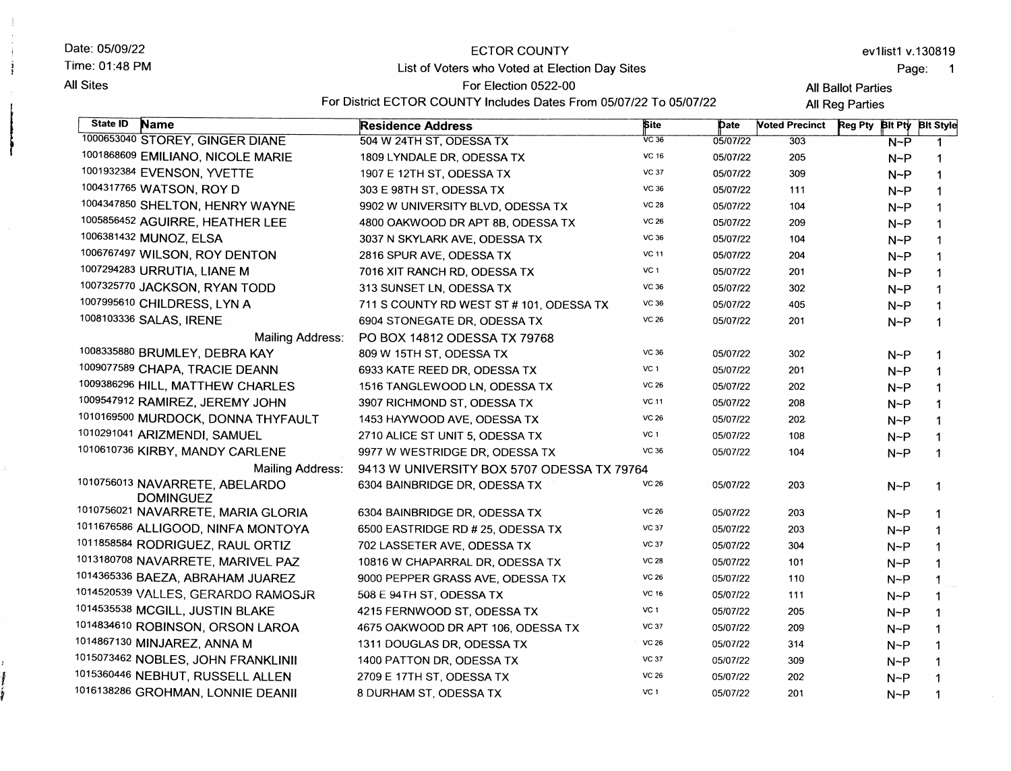| Date: 05/09/22                                     | <b>ECTOR COUNTY</b>                            |                                                                    |          |                       | ev1list1 v.130819         |              |  |  |
|----------------------------------------------------|------------------------------------------------|--------------------------------------------------------------------|----------|-----------------------|---------------------------|--------------|--|--|
| Time: 01:48 PM                                     | List of Voters who Voted at Election Day Sites |                                                                    |          |                       |                           | Page:        |  |  |
| <b>All Sites</b>                                   | For Election 0522-00                           |                                                                    |          |                       | <b>All Ballot Parties</b> |              |  |  |
|                                                    |                                                | For District ECTOR COUNTY Includes Dates From 05/07/22 To 05/07/22 |          |                       | All Reg Parties           |              |  |  |
| State ID<br><b>Name</b>                            | <b>Residence Address</b>                       | <b>Site</b>                                                        | Date     | <b>Noted Precinct</b> | Reg Pty Bit Pty Bit Style |              |  |  |
| 1000653040 STOREY, GINGER DIANE                    | 504 W 24TH ST, ODESSA TX                       | $VC$ 36                                                            | 05/07/22 | 303                   | $N-P$                     | 1            |  |  |
| 1001868609 EMILIANO, NICOLE MARIE                  | 1809 LYNDALE DR, ODESSA TX                     | <b>VC 16</b>                                                       | 05/07/22 | 205                   | $N-P$                     | 1            |  |  |
| 1001932384 EVENSON, YVETTE                         | 1907 E 12TH ST, ODESSA TX                      | <b>VC 37</b>                                                       | 05/07/22 | 309                   | $N-P$                     | $\mathbf{1}$ |  |  |
| 1004317765 WATSON, ROY D                           | 303 E 98TH ST, ODESSA TX                       | VC 36                                                              | 05/07/22 | 111                   | $N-P$                     | $\mathbf 1$  |  |  |
| 1004347850 SHELTON, HENRY WAYNE                    | 9902 W UNIVERSITY BLVD, ODESSA TX              | <b>VC 28</b>                                                       | 05/07/22 | 104                   | $N-P$                     | $\mathbf{1}$ |  |  |
| 1005856452 AGUIRRE, HEATHER LEE                    | 4800 OAKWOOD DR APT 8B, ODESSA TX              | <b>VC 26</b>                                                       | 05/07/22 | 209                   | $N-P$                     | $\mathbf 1$  |  |  |
| 1006381432 MUNOZ, ELSA                             | 3037 N SKYLARK AVE, ODESSA TX                  | VC 36                                                              | 05/07/22 | 104                   | $N-P$                     | $\mathbf 1$  |  |  |
| 1006767497 WILSON, ROY DENTON                      | 2816 SPUR AVE, ODESSA TX                       | <b>VC 11</b>                                                       | 05/07/22 | 204                   | $N-P$                     | $\mathbf{1}$ |  |  |
| 1007294283 URRUTIA, LIANE M                        | 7016 XIT RANCH RD, ODESSA TX                   | VC 1                                                               | 05/07/22 | 201                   | $N-P$                     | $\mathbf{1}$ |  |  |
| 1007325770 JACKSON, RYAN TODD                      | 313 SUNSET LN, ODESSA TX                       | VC 36                                                              | 05/07/22 | 302                   | $N-P$                     | $\mathbf 1$  |  |  |
| 1007995610 CHILDRESS, LYN A                        | 711 S COUNTY RD WEST ST # 101, ODESSA TX       | VC 36                                                              | 05/07/22 | 405                   | $N-P$                     | $\mathbf{1}$ |  |  |
| 1008103336 SALAS, IRENE                            | 6904 STONEGATE DR, ODESSA TX                   | <b>VC 26</b>                                                       | 05/07/22 | 201                   | $N-P$                     | $\mathbf{1}$ |  |  |
| Mailing Address:                                   | PO BOX 14812 ODESSA TX 79768                   |                                                                    |          |                       |                           |              |  |  |
| 1008335880 BRUMLEY, DEBRA KAY                      | 809 W 15TH ST, ODESSA TX                       | <b>VC 36</b>                                                       | 05/07/22 | 302                   | $N-P$                     | -1           |  |  |
| 1009077589 CHAPA, TRACIE DEANN                     | 6933 KATE REED DR, ODESSA TX                   | VC 1                                                               | 05/07/22 | 201                   | $N-P$                     | -1           |  |  |
| 1009386296 HILL, MATTHEW CHARLES                   | 1516 TANGLEWOOD LN, ODESSA TX                  | <b>VC 26</b>                                                       | 05/07/22 | 202                   | $N-P$                     | -1           |  |  |
| 1009547912 RAMIREZ, JEREMY JOHN                    | 3907 RICHMOND ST, ODESSA TX                    | <b>VC 11</b>                                                       | 05/07/22 | 208                   | $N-P$                     |              |  |  |
| 1010169500 MURDOCK, DONNA THYFAULT                 | 1453 HAYWOOD AVE, ODESSA TX                    | <b>VC 26</b>                                                       | 05/07/22 | 202                   | $N-P$                     |              |  |  |
| 1010291041 ARIZMENDI, SAMUEL                       | 2710 ALICE ST UNIT 5, ODESSA TX                | VC <sub>1</sub>                                                    | 05/07/22 | 108                   | $N-P$                     | $\mathbf 1$  |  |  |
| 1010610736 KIRBY, MANDY CARLENE                    | 9977 W WESTRIDGE DR, ODESSA TX                 | VC 36                                                              | 05/07/22 | 104                   | $N-P$                     | $\mathbf{1}$ |  |  |
| <b>Mailing Address:</b>                            | 9413 W UNIVERSITY BOX 5707 ODESSA TX 79764     |                                                                    |          |                       |                           |              |  |  |
| 1010756013 NAVARRETE, ABELARDO<br><b>DOMINGUEZ</b> | 6304 BAINBRIDGE DR, ODESSA TX                  | <b>VC 26</b>                                                       | 05/07/22 | 203                   | $N-P$                     | -1           |  |  |
| 1010756021 NAVARRETE, MARIA GLORIA                 | 6304 BAINBRIDGE DR, ODESSA TX                  | <b>VC 26</b>                                                       | 05/07/22 | 203                   | $N^{-P}$                  | -1           |  |  |
| 1011676586 ALLIGOOD, NINFA MONTOYA                 | 6500 EASTRIDGE RD # 25, ODESSA TX              | <b>VC 37</b>                                                       | 05/07/22 | 203                   | $N-P$                     | $\mathbf 1$  |  |  |
| 1011858584 RODRIGUEZ, RAUL ORTIZ                   | 702 LASSETER AVE, ODESSA TX                    | <b>VC 37</b>                                                       | 05/07/22 | 304                   | $N-P$                     | 1            |  |  |
| 1013180708 NAVARRETE, MARIVEL PAZ                  | 10816 W CHAPARRAL DR, ODESSA TX                | <b>VC 28</b>                                                       | 05/07/22 | 101                   | $N-P$                     |              |  |  |
| 1014365336 BAEZA, ABRAHAM JUAREZ                   | 9000 PEPPER GRASS AVE, ODESSA TX               | <b>VC 26</b>                                                       | 05/07/22 | 110                   | $N-P$                     |              |  |  |
| 1014520539 VALLES, GERARDO RAMOSJR                 | 508 E 94TH ST, ODESSA TX                       | VC 16                                                              | 05/07/22 | 111                   | $N-P$                     | $\mathbf 1$  |  |  |
| 1014535538 MCGILL, JUSTIN BLAKE                    | 4215 FERNWOOD ST, ODESSA TX                    | VC 1                                                               | 05/07/22 | 205                   | $N-P$                     |              |  |  |
| 1014834610 ROBINSON, ORSON LAROA                   | 4675 OAKWOOD DR APT 106, ODESSA TX             | <b>VC 37</b>                                                       | 05/07/22 | 209                   | $N-P$                     |              |  |  |
| 1014867130 MINJAREZ, ANNA M                        | 1311 DOUGLAS DR, ODESSA TX                     | <b>VC 26</b>                                                       | 05/07/22 | 314                   | $N-P$                     |              |  |  |
| 1015073462 NOBLES, JOHN FRANKLINII                 | 1400 PATTON DR, ODESSA TX                      | <b>VC 37</b>                                                       | 05/07/22 | 309                   | $N-P$                     |              |  |  |
| 1015360446 NEBHUT, RUSSELL ALLEN                   | 2709 E 17TH ST, ODESSA TX                      | <b>VC 26</b>                                                       | 05/07/22 | 202                   | $N-P$                     |              |  |  |
| 1016138286 GROHMAN, LONNIE DEANII                  | 8 DURHAM ST, ODESSA TX                         | VC <sub>1</sub>                                                    | 05/07/22 | 201                   | $N-P$                     |              |  |  |
|                                                    |                                                |                                                                    |          |                       |                           |              |  |  |

i :t I t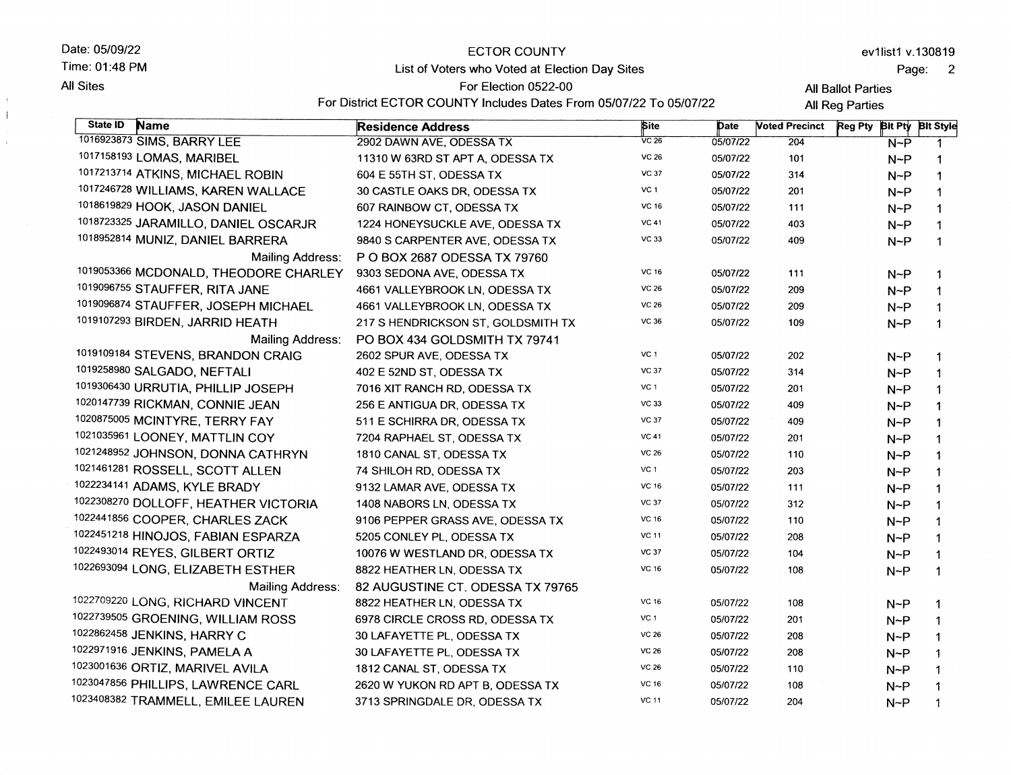#### Date: 05/09/22 Time:01:48 PM

**All Sites** 

÷  $\mathcal{L}$ 

 $\mathcal{L}$ 

## ECTOR COUNTY List of Voters who Voted at Election Day Sites

Page: 2

**All Ballot Parties** 

For Election O522-OO For District ECTOR COUNTY Includes Dates From 05/07/22 To 05/07/22

**All Reg Parties** 

| State ID<br>Name                      | <b>Residence Address</b>           | <b>Site</b>     | Date     | <b>Voted Precinct</b> | Reg Pty Bit Pty Bit Style |              |
|---------------------------------------|------------------------------------|-----------------|----------|-----------------------|---------------------------|--------------|
| 1016923873 SIMS, BARRY LEE            | 2902 DAWN AVE, ODESSA TX           | $VC$ 26         | 05/07/22 | 204                   | $N-P$                     | 1            |
| 1017158193 LOMAS, MARIBEL             | 11310 W 63RD ST APT A, ODESSA TX   | VC 26           | 05/07/22 | 101                   | $N-P$                     | 1            |
| 1017213714 ATKINS, MICHAEL ROBIN      | 604 E 55TH ST, ODESSA TX           | <b>VC 37</b>    | 05/07/22 | 314                   | $N-P$                     | 1            |
| 1017246728 WILLIAMS, KAREN WALLACE    | 30 CASTLE OAKS DR, ODESSA TX       | VC <sub>1</sub> | 05/07/22 | 201                   | $N-P$                     | 1            |
| 1018619829 HOOK, JASON DANIEL         | 607 RAINBOW CT, ODESSA TX          | VC 16           | 05/07/22 | 111                   | $N-P$                     | $\mathbf 1$  |
| 1018723325 JARAMILLO, DANIEL OSCARJR  | 1224 HONEYSUCKLE AVE, ODESSA TX    | <b>VC 41</b>    | 05/07/22 | 403                   | $N-P$                     | $\mathbf 1$  |
| 1018952814 MUNIZ, DANIEL BARRERA      | 9840 S CARPENTER AVE, ODESSA TX    | VC 33           | 05/07/22 | 409                   | $N-P$                     | $\mathbf 1$  |
| <b>Mailing Address:</b>               | P O BOX 2687 ODESSA TX 79760       |                 |          |                       |                           |              |
| 1019053366 MCDONALD, THEODORE CHARLEY | 9303 SEDONA AVE, ODESSA TX         | <b>VC 16</b>    | 05/07/22 | 111                   | $N-P$                     | 1            |
| 1019096755 STAUFFER, RITA JANE        | 4661 VALLEYBROOK LN, ODESSA TX     | <b>VC 26</b>    | 05/07/22 | 209                   | $N-P$                     | 1            |
| 1019096874 STAUFFER, JOSEPH MICHAEL   | 4661 VALLEYBROOK LN, ODESSA TX     | <b>VC 26</b>    | 05/07/22 | 209                   | $N-P$                     | 1            |
| 1019107293 BIRDEN, JARRID HEATH       | 217 S HENDRICKSON ST, GOLDSMITH TX | VC 36           | 05/07/22 | 109                   | $N-P$                     | $\mathbf{1}$ |
| <b>Mailing Address:</b>               | PO BOX 434 GOLDSMITH TX 79741      |                 |          |                       |                           |              |
| 1019109184 STEVENS, BRANDON CRAIG     | 2602 SPUR AVE, ODESSA TX           | VC 1            | 05/07/22 | 202                   | $N-P$                     | 1            |
| 1019258980 SALGADO, NEFTALI           | 402 E 52ND ST, ODESSA TX           | <b>VC 37</b>    | 05/07/22 | 314                   | $N-P$                     | 1            |
| 1019306430 URRUTIA, PHILLIP JOSEPH    | 7016 XIT RANCH RD, ODESSA TX       | VC 1            | 05/07/22 | 201                   | $N-P$                     | 1            |
| 1020147739 RICKMAN, CONNIE JEAN       | 256 E ANTIGUA DR, ODESSA TX        | <b>VC 33</b>    | 05/07/22 | 409                   | $N-P$                     | 1            |
| 1020875005 MCINTYRE, TERRY FAY        | 511 E SCHIRRA DR, ODESSA TX        | <b>VC 37</b>    | 05/07/22 | 409                   | $N-P$                     | 1            |
| 1021035961 LOONEY, MATTLIN COY        | 7204 RAPHAEL ST, ODESSA TX         | <b>VC 41</b>    | 05/07/22 | 201                   | $N-P$                     | 1            |
| 1021248952 JOHNSON, DONNA CATHRYN     | 1810 CANAL ST, ODESSA TX           | <b>VC 26</b>    | 05/07/22 | 110                   | $N-P$                     | $\mathbf 1$  |
| 1021461281 ROSSELL, SCOTT ALLEN       | 74 SHILOH RD, ODESSA TX            | VC <sub>1</sub> | 05/07/22 | 203                   | $N-P$                     | 1            |
| 1022234141 ADAMS, KYLE BRADY          | 9132 LAMAR AVE, ODESSA TX          | VC 16           | 05/07/22 | 111                   | $N-P$                     | 1            |
| 1022308270 DOLLOFF, HEATHER VICTORIA  | 1408 NABORS LN, ODESSA TX          | <b>VC 37</b>    | 05/07/22 | 312                   | $N-P$                     | 1            |
| 1022441856 COOPER, CHARLES ZACK       | 9106 PEPPER GRASS AVE, ODESSA TX   | <b>VC 16</b>    | 05/07/22 | 110                   | $N-P$                     | 1            |
| 1022451218 HINOJOS, FABIAN ESPARZA    | 5205 CONLEY PL, ODESSA TX          | <b>VC 11</b>    | 05/07/22 | 208                   | $N-P$                     | 1            |
| 1022493014 REYES, GILBERT ORTIZ       | 10076 W WESTLAND DR, ODESSA TX     | <b>VC 37</b>    | 05/07/22 | 104                   | $N-P$                     | 1            |
| 1022693094 LONG, ELIZABETH ESTHER     | 8822 HEATHER LN, ODESSA TX         | VC 16           | 05/07/22 | 108                   | $N-P$                     | 1            |
| Mailing Address:                      | 82 AUGUSTINE CT. ODESSA TX 79765   |                 |          |                       |                           |              |
| 1022709220 LONG, RICHARD VINCENT      | 8822 HEATHER LN, ODESSA TX         | VC 16           | 05/07/22 | 108                   | $N-P$                     | 1            |
| 1022739505 GROENING, WILLIAM ROSS     | 6978 CIRCLE CROSS RD, ODESSA TX    | VC 1            | 05/07/22 | 201                   | $N-P$                     | 1            |
| 1022862458 JENKINS, HARRY C           | 30 LAFAYETTE PL, ODESSA TX         | <b>VC 26</b>    | 05/07/22 | 208                   | $N-P$                     | $\mathbf 1$  |
| 1022971916 JENKINS, PAMELA A          | 30 LAFAYETTE PL, ODESSA TX         | <b>VC 26</b>    | 05/07/22 | 208                   | $N-P$                     | 1            |
| 1023001636 ORTIZ, MARIVEL AVILA       | 1812 CANAL ST, ODESSA TX           | <b>VC 26</b>    | 05/07/22 | 110                   | $N-P$                     | $\mathbf 1$  |
| 1023047856 PHILLIPS, LAWRENCE CARL    | 2620 W YUKON RD APT B, ODESSA TX   | VC 16           | 05/07/22 | 108                   | $N-P$                     | 1            |
| 1023408382 TRAMMELL, EMILEE LAUREN    | 3713 SPRINGDALE DR, ODESSA TX      | <b>VC 11</b>    | 05/07/22 | 204                   | $N-P$                     | 1            |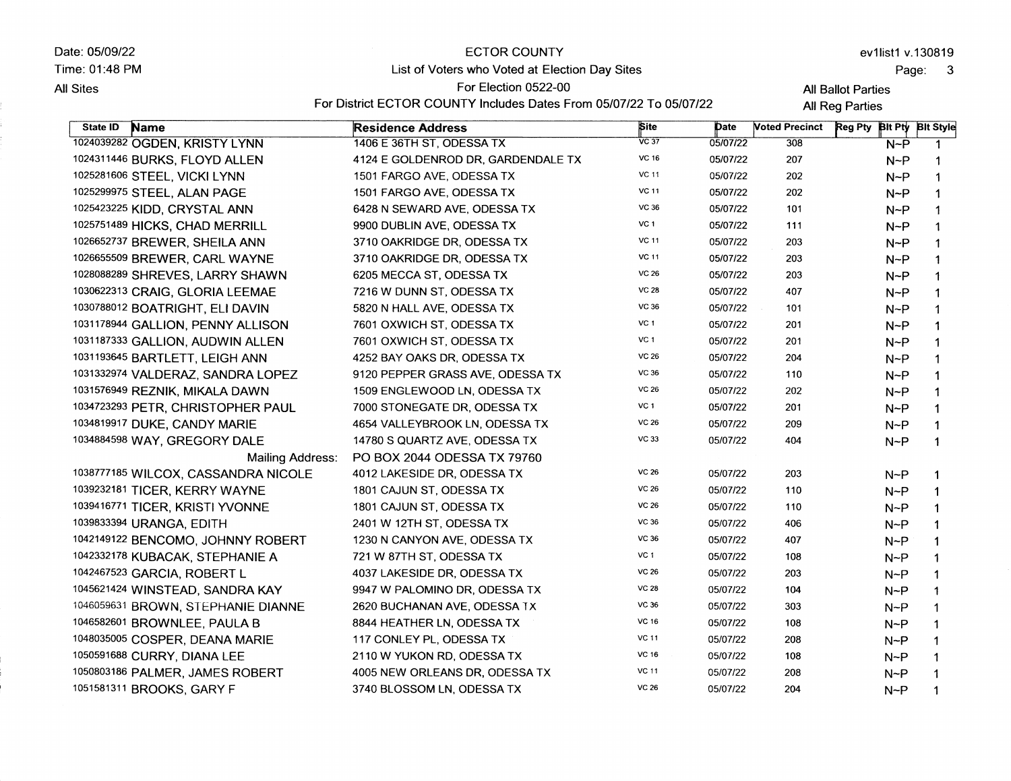Date: 05/09/22 Time:01:48 PM **All Sites** 

#### ECTOR COUNTY

### List of Voters who Voted at Election Day Sites

#### For Election O522-OO

For District ECTOR COUNTY Includes Dates From 05/07/22 To 05/07/22

All Ballot Parties **All Reg Parties** 

| State <b>ID</b><br><b>Name</b>      | <b>Residence Address</b>           | Site            | Date     | <b>Noted Precinct</b> | Reg Pty Bit Pty Bit Style |              |
|-------------------------------------|------------------------------------|-----------------|----------|-----------------------|---------------------------|--------------|
| 1024039282 OGDEN, KRISTY LYNN       | 1406 E 36TH ST, ODESSA TX          | $\sqrt{C}$ 37   | 05/07/22 | 308                   | $N-P$                     | $\mathbf{1}$ |
| 1024311446 BURKS, FLOYD ALLEN       | 4124 E GOLDENROD DR, GARDENDALE TX | <b>VC 16</b>    | 05/07/22 | 207                   | $N-P$                     | 1            |
| 1025281606 STEEL, VICKI LYNN        | 1501 FARGO AVE, ODESSA TX          | <b>VC 11</b>    | 05/07/22 | 202                   | $N-P$                     | 1            |
| 1025299975 STEEL, ALAN PAGE         | 1501 FARGO AVE, ODESSA TX          | <b>VC 11</b>    | 05/07/22 | 202                   | $N-P$                     | 1            |
| 1025423225 KIDD, CRYSTAL ANN        | 6428 N SEWARD AVE, ODESSA TX       | <b>VC 36</b>    | 05/07/22 | 101                   | $N-P$                     | $\mathbf 1$  |
| 1025751489 HICKS, CHAD MERRILL      | 9900 DUBLIN AVE, ODESSA TX         | VC 1            | 05/07/22 | 111                   | $N-P$                     | 1            |
| 1026652737 BREWER, SHEILA ANN       | 3710 OAKRIDGE DR, ODESSA TX        | <b>VC 11</b>    | 05/07/22 | 203                   | $N-P$                     | 1            |
| 1026655509 BREWER, CARL WAYNE       | 3710 OAKRIDGE DR, ODESSA TX        | <b>VC 11</b>    | 05/07/22 | 203                   | $N-P$                     | $\mathbf{1}$ |
| 1028088289 SHREVES, LARRY SHAWN     | 6205 MECCA ST, ODESSA TX           | <b>VC 26</b>    | 05/07/22 | 203                   | $N-P$                     | 1            |
| 1030622313 CRAIG, GLORIA LEEMAE     | 7216 W DUNN ST, ODESSA TX          | <b>VC 28</b>    | 05/07/22 | 407                   | $N-P$                     | $\mathbf{1}$ |
| 1030788012 BOATRIGHT, ELI DAVIN     | 5820 N HALL AVE, ODESSA TX         | <b>VC 36</b>    | 05/07/22 | 101                   | $N-P$                     | 1            |
| 1031178944 GALLION, PENNY ALLISON   | 7601 OXWICH ST, ODESSA TX          | VC 1            | 05/07/22 | 201                   | $N-P$                     | $\mathbf 1$  |
| 1031187333 GALLION, AUDWIN ALLEN    | 7601 OXWICH ST, ODESSA TX          | VC <sub>1</sub> | 05/07/22 | 201                   | $N-P$                     | 1            |
| 1031193645 BARTLETT, LEIGH ANN      | 4252 BAY OAKS DR, ODESSA TX        | <b>VC 26</b>    | 05/07/22 | 204                   | $N-P$                     | 1            |
| 1031332974 VALDERAZ, SANDRA LOPEZ   | 9120 PEPPER GRASS AVE, ODESSA TX   | <b>VC 36</b>    | 05/07/22 | 110                   | $N-P$                     | 1            |
| 1031576949 REZNIK, MIKALA DAWN      | 1509 ENGLEWOOD LN, ODESSA TX       | <b>VC 26</b>    | 05/07/22 | 202                   | $N-P$                     | 1            |
| 1034723293 PETR, CHRISTOPHER PAUL   | 7000 STONEGATE DR, ODESSA TX       | VC 1            | 05/07/22 | 201                   | $N-P$                     | 1            |
| 1034819917 DUKE, CANDY MARIE        | 4654 VALLEYBROOK LN, ODESSA TX     | <b>VC 26</b>    | 05/07/22 | 209                   | $N-P$                     | 1            |
| 1034884598 WAY, GREGORY DALE        | 14780 S QUARTZ AVE, ODESSA TX      | VC 33           | 05/07/22 | 404                   | $N-P$                     | 1            |
| Mailing Address:                    | PO BOX 2044 ODESSA TX 79760        |                 |          |                       |                           |              |
| 1038777185 WILCOX, CASSANDRA NICOLE | 4012 LAKESIDE DR, ODESSA TX        | <b>VC 26</b>    | 05/07/22 | 203                   | $N-P$                     | 1            |
| 1039232181 TICER, KERRY WAYNE       | 1801 CAJUN ST, ODESSA TX           | VC 26           | 05/07/22 | 110                   | $N-P$                     | 1            |
| 1039416771 TICER, KRISTI YVONNE     | 1801 CAJUN ST, ODESSA TX           | <b>VC 26</b>    | 05/07/22 | 110                   | $N-P$                     |              |
| 1039833394 URANGA, EDITH            | 2401 W 12TH ST, ODESSA TX          | VC 36           | 05/07/22 | 406                   | $N-P$                     | 1            |
| 1042149122 BENCOMO, JOHNNY ROBERT   | 1230 N CANYON AVE, ODESSA TX       | <b>VC 36</b>    | 05/07/22 | 407                   | $N-P$                     | 1            |
| 1042332178 KUBACAK, STEPHANIE A     | 721 W 87TH ST, ODESSA TX           | VC 1            | 05/07/22 | 108                   | $N-P$                     | 1            |
| 1042467523 GARCIA, ROBERT L         | 4037 LAKESIDE DR, ODESSA TX        | VC 26           | 05/07/22 | 203                   | $N-P$                     | 1            |
| 1045621424 WINSTEAD, SANDRA KAY     | 9947 W PALOMINO DR, ODESSA TX      | <b>VC 28</b>    | 05/07/22 | 104                   | $N-P$                     | 1            |
| 1046059631 BROWN, STEPHANIE DIANNE  | 2620 BUCHANAN AVE, ODESSA TX       | VC 36           | 05/07/22 | 303                   | $N-P$                     | 1            |
| 1046582601 BROWNLEE, PAULA B        | 8844 HEATHER LN, ODESSA TX         | <b>VC 16</b>    | 05/07/22 | 108                   | $N-P$                     | 1            |
| 1048035005 COSPER, DEANA MARIE      | 117 CONLEY PL, ODESSA TX           | <b>VC 11</b>    | 05/07/22 | 208                   | $N-P$                     | 1            |
| 1050591688 CURRY, DIANA LEE         | 2110 W YUKON RD, ODESSA TX         | <b>VC 16</b>    | 05/07/22 | 108                   | $N-P$                     | 1            |
| 1050803186 PALMER, JAMES ROBERT     | 4005 NEW ORLEANS DR, ODESSA TX     | <b>VC 11</b>    | 05/07/22 | 208                   | $N-P$                     | 1            |
| 1051581311 BROOKS, GARY F           | 3740 BLOSSOM LN, ODESSA TX         | <b>VC 26</b>    | 05/07/22 | 204                   | $N-P$                     | 1            |
|                                     |                                    |                 |          |                       |                           |              |

ev1list1 v.130819

Page: <sup>3</sup>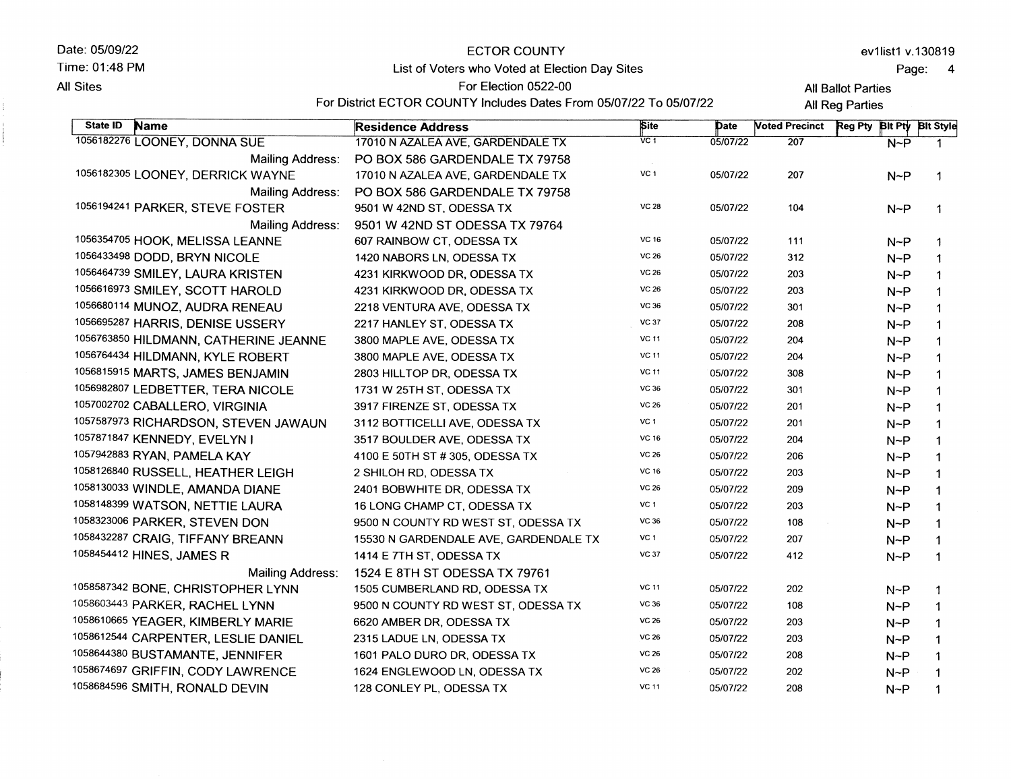| Date: 05/09/22 |  |  |
|----------------|--|--|
|----------------|--|--|

**All Sites** 

Time: 01:48 PM

# **ECTOR COUNTY** List of Voters who Voted at Election Day Sites

### Page: 4

**All Ballot Parties** 

For Election 0522-00 For District ECTOR COUNTY Includes Dates From 05/07/22 To 05/07/22

All Reg Parties

| State ID<br><b>Name</b>               | <b>Residence Address</b>              | Site              | Date     | <b>Noted Precinct</b> | <b>Reg Pty</b> | Bit Pty Bit Style |
|---------------------------------------|---------------------------------------|-------------------|----------|-----------------------|----------------|-------------------|
| 1056182276 LOONEY, DONNA SUE          | 17010 N AZALEA AVE, GARDENDALE TX     | $\overline{VC}$ 1 | 05/07/22 | 207                   | $N-P$          |                   |
| Mailing Address:                      | PO BOX 586 GARDENDALE TX 79758        |                   |          |                       |                |                   |
| 1056182305 LOONEY, DERRICK WAYNE      | 17010 N AZALEA AVE, GARDENDALE TX     | VC <sub>1</sub>   | 05/07/22 | 207                   | $N-P$          | $\mathbf{1}$      |
| <b>Mailing Address:</b>               | PO BOX 586 GARDENDALE TX 79758        |                   |          |                       |                |                   |
| 1056194241 PARKER, STEVE FOSTER       | 9501 W 42ND ST, ODESSA TX             | <b>VC 28</b>      | 05/07/22 | 104                   | $N-P$          | $\mathbf 1$       |
| <b>Mailing Address:</b>               | 9501 W 42ND ST ODESSA TX 79764        |                   |          |                       |                |                   |
| 1056354705 HOOK, MELISSA LEANNE       | 607 RAINBOW CT, ODESSA TX             | <b>VC 16</b>      | 05/07/22 | 111                   | $N-P$          | 1                 |
| 1056433498 DODD, BRYN NICOLE          | 1420 NABORS LN, ODESSA TX             | <b>VC 26</b>      | 05/07/22 | 312                   | $N-P$          | $\mathbf{1}$      |
| 1056464739 SMILEY, LAURA KRISTEN      | 4231 KIRKWOOD DR, ODESSA TX           | <b>VC 26</b>      | 05/07/22 | 203                   | $N-P$          | $\mathbf{1}$      |
| 1056616973 SMILEY, SCOTT HAROLD       | 4231 KIRKWOOD DR, ODESSA TX           | <b>VC 26</b>      | 05/07/22 | 203                   | $N-P$          | $\mathbf 1$       |
| 1056680114 MUNOZ, AUDRA RENEAU        | 2218 VENTURA AVE, ODESSA TX           | VC 36             | 05/07/22 | 301                   | $N-P$          | 1                 |
| 1056695287 HARRIS, DENISE USSERY      | 2217 HANLEY ST, ODESSA TX             | <b>VC 37</b>      | 05/07/22 | 208                   | $N-P$          | $\mathbf{1}$      |
| 1056763850 HILDMANN, CATHERINE JEANNE | 3800 MAPLE AVE, ODESSA TX             | <b>VC 11</b>      | 05/07/22 | 204                   | $N-P$          | $\mathbf 1$       |
| 1056764434 HILDMANN, KYLE ROBERT      | 3800 MAPLE AVE, ODESSA TX             | <b>VC 11</b>      | 05/07/22 | 204                   | $N-P$          | $\mathbf 1$       |
| 1056815915 MARTS, JAMES BENJAMIN      | 2803 HILLTOP DR, ODESSA TX            | <b>VC 11</b>      | 05/07/22 | 308                   | $N-P$          | $\mathbf 1$       |
| 1056982807 LEDBETTER, TERA NICOLE     | 1731 W 25TH ST, ODESSA TX             | VC 36             | 05/07/22 | 301                   | $N-P$          | $\mathbf 1$       |
| 1057002702 CABALLERO, VIRGINIA        | 3917 FIRENZE ST, ODESSA TX            | <b>VC 26</b>      | 05/07/22 | 201                   | $N-P$          | $\mathbf 1$       |
| 1057587973 RICHARDSON, STEVEN JAWAUN  | 3112 BOTTICELLI AVE, ODESSA TX        | VC <sub>1</sub>   | 05/07/22 | 201                   | $N-P$          | $\mathbf{1}$      |
| 1057871847 KENNEDY, EVELYN I          | 3517 BOULDER AVE, ODESSA TX           | <b>VC 16</b>      | 05/07/22 | 204                   | $N-P$          | $\mathbf 1$       |
| 1057942883 RYAN, PAMELA KAY           | 4100 E 50TH ST # 305, ODESSA TX       | <b>VC 26</b>      | 05/07/22 | 206                   | $N-P$          | $\mathbf 1$       |
| 1058126840 RUSSELL, HEATHER LEIGH     | 2 SHILOH RD, ODESSA TX                | <b>VC 16</b>      | 05/07/22 | 203                   | $N-P$          | 1                 |
| 1058130033 WINDLE, AMANDA DIANE       | 2401 BOBWHITE DR, ODESSA TX           | <b>VC 26</b>      | 05/07/22 | 209                   | $N-P$          | 1                 |
| 1058148399 WATSON, NETTIE LAURA       | 16 LONG CHAMP CT, ODESSA TX           | VC <sub>1</sub>   | 05/07/22 | 203                   | $N-P$          | 1                 |
| 1058323006 PARKER, STEVEN DON         | 9500 N COUNTY RD WEST ST, ODESSA TX   | <b>VC 36</b>      | 05/07/22 | 108                   | $N-P$          | 1                 |
| 1058432287 CRAIG, TIFFANY BREANN      | 15530 N GARDENDALE AVE, GARDENDALE TX | VC <sub>1</sub>   | 05/07/22 | 207                   | $N-P$          | $\mathbf{1}$      |
| 1058454412 HINES, JAMES R             | 1414 E 7TH ST, ODESSA TX              | <b>VC 37</b>      | 05/07/22 | 412                   | $N-P$          | $\mathbf 1$       |
| Mailing Address:                      | 1524 E 8TH ST ODESSA TX 79761         |                   |          |                       |                |                   |
| 1058587342 BONE, CHRISTOPHER LYNN     | 1505 CUMBERLAND RD, ODESSA TX         | <b>VC 11</b>      | 05/07/22 | 202                   | $N-P$          | $\mathbf 1$       |
| 1058603443 PARKER, RACHEL LYNN        | 9500 N COUNTY RD WEST ST, ODESSA TX   | VC 36             | 05/07/22 | 108                   | $N-P$          | 1                 |
| 1058610665 YEAGER, KIMBERLY MARIE     | 6620 AMBER DR, ODESSA TX              | <b>VC 26</b>      | 05/07/22 | 203                   | $N-P$          | $\mathbf 1$       |
| 1058612544 CARPENTER, LESLIE DANIEL   | 2315 LADUE LN, ODESSA TX              | <b>VC 26</b>      | 05/07/22 | 203                   | $N-P$          | $\mathbf 1$       |
| 1058644380 BUSTAMANTE, JENNIFER       | 1601 PALO DURO DR, ODESSA TX          | <b>VC 26</b>      | 05/07/22 | 208                   | $N-P$          | $\mathbf{1}$      |
| 1058674697 GRIFFIN, CODY LAWRENCE     | 1624 ENGLEWOOD LN, ODESSA TX          | <b>VC 26</b>      | 05/07/22 | 202                   | $N-P$          | $\mathbf 1$       |
| 1058684596 SMITH, RONALD DEVIN        | 128 CONLEY PL, ODESSA TX              | <b>VC 11</b>      | 05/07/22 | 208                   | $N^{-}P$       |                   |
|                                       |                                       |                   |          |                       |                |                   |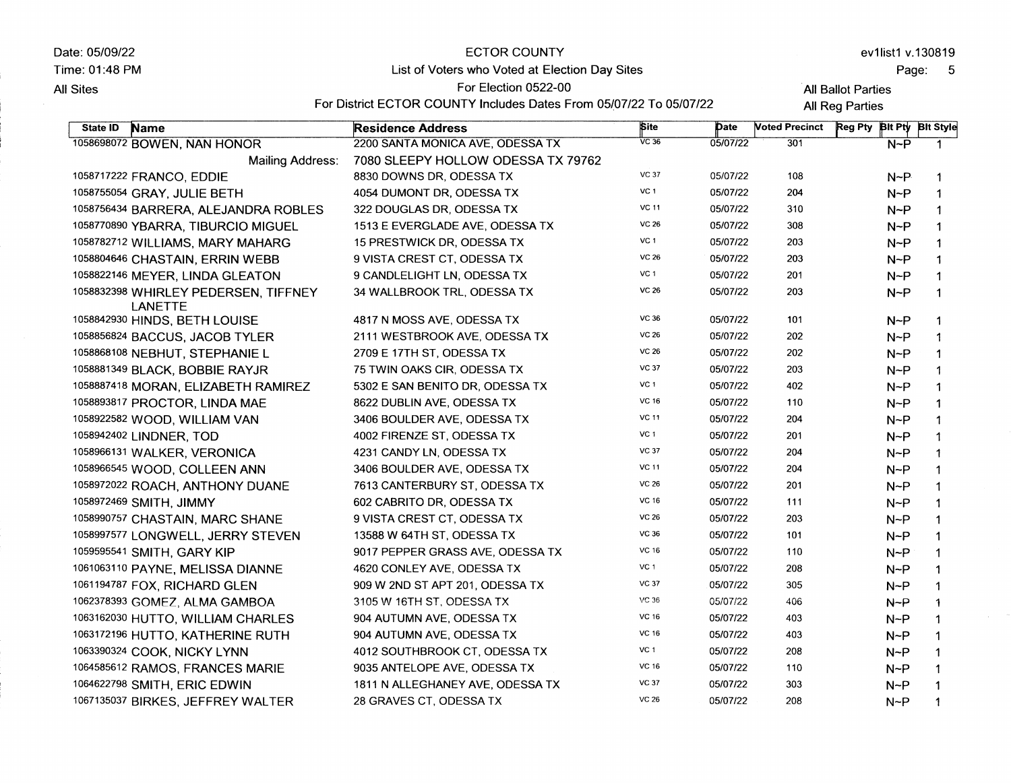| Date: 05/09/22<br>Time: 01:48 PM |                                                 | <b>ECTOR COUNTY</b>                                                |                 |          |                       |                           |            | ev1list1 v.130819 |
|----------------------------------|-------------------------------------------------|--------------------------------------------------------------------|-----------------|----------|-----------------------|---------------------------|------------|-------------------|
|                                  |                                                 | List of Voters who Voted at Election Day Sites                     |                 |          | Page:<br>- 5          |                           |            |                   |
| All Sites                        |                                                 | For Election 0522-00                                               |                 |          |                       | <b>All Ballot Parties</b> |            |                   |
|                                  |                                                 | For District ECTOR COUNTY Includes Dates From 05/07/22 To 05/07/22 |                 |          |                       | All Reg Parties           |            |                   |
| State ID                         | <b>Name</b>                                     | <b>Residence Address</b>                                           | <b>Site</b>     | Date     | <b>Voted Precinct</b> | Reg Pty Bit Pty Bit Style |            |                   |
|                                  | 1058698072 BOWEN, NAN HONOR                     | 2200 SANTA MONICA AVE, ODESSA TX                                   | $\sqrt{C}$ 36   | 05/07/22 | 301                   |                           | $N-P$      | $\mathbf 1$       |
|                                  | Mailing Address:                                | 7080 SLEEPY HOLLOW ODESSA TX 79762                                 |                 |          |                       |                           |            |                   |
|                                  | 1058717222 FRANCO, EDDIE                        | 8830 DOWNS DR, ODESSA TX                                           | <b>VC 37</b>    | 05/07/22 | 108                   |                           | $N-P$      | 1                 |
|                                  | 1058755054 GRAY, JULIE BETH                     | 4054 DUMONT DR, ODESSA TX                                          | VC <sub>1</sub> | 05/07/22 | 204                   |                           | $N-P$      | 1                 |
|                                  | 1058756434 BARRERA, ALEJANDRA ROBLES            | 322 DOUGLAS DR, ODESSA TX                                          | <b>VC 11</b>    | 05/07/22 | 310                   |                           | N~P        | $\mathbf{1}$      |
|                                  | 1058770890 YBARRA, TIBURCIO MIGUEL              | 1513 E EVERGLADE AVE, ODESSA TX                                    | <b>VC 26</b>    | 05/07/22 | 308                   |                           | $N-P$      | -1                |
|                                  | 1058782712 WILLIAMS, MARY MAHARG                | 15 PRESTWICK DR, ODESSA TX                                         | VC $1$          | 05/07/22 | 203                   |                           | $N-P$      | 1                 |
|                                  | 1058804646 CHASTAIN, ERRIN WEBB                 | 9 VISTA CREST CT, ODESSA TX                                        | <b>VC 26</b>    | 05/07/22 | 203                   |                           | $N-P$      | 1                 |
|                                  | 1058822146 MEYER, LINDA GLEATON                 | 9 CANDLELIGHT LN, ODESSA TX                                        | VC 1            | 05/07/22 | 201                   |                           | $N-P$      | $\mathbf{1}$      |
|                                  | 1058832398 WHIRLEY PEDERSEN, TIFFNEY<br>LANETTE | 34 WALLBROOK TRL, ODESSA TX                                        | <b>VC 26</b>    | 05/07/22 | 203                   |                           | $N-P$      | 1                 |
|                                  | 1058842930 HINDS, BETH LOUISE                   | 4817 N MOSS AVE, ODESSA TX                                         | VC 36           | 05/07/22 | 101                   |                           | $N-P$      | -1                |
|                                  | 1058856824 BACCUS, JACOB TYLER                  | 2111 WESTBROOK AVE, ODESSA TX                                      | <b>VC 26</b>    | 05/07/22 | 202                   |                           | $N-P$      | $\mathbf 1$       |
|                                  | 1058868108 NEBHUT, STEPHANIE L                  | 2709 E 17TH ST, ODESSA TX                                          | <b>VC 26</b>    | 05/07/22 | 202                   |                           | $N-P$      | $\mathbf 1$       |
|                                  | 1058881349 BLACK, BOBBIE RAYJR                  | 75 TWIN OAKS CIR, ODESSA TX                                        | <b>VC 37</b>    | 05/07/22 | 203                   |                           | $N-P$      | $\mathbf{1}$      |
|                                  | 1058887418 MORAN, ELIZABETH RAMIREZ             | 5302 E SAN BENITO DR, ODESSA TX                                    | VC 1            | 05/07/22 | 402                   |                           | $N-P$      | $\mathbf 1$       |
|                                  | 1058893817 PROCTOR, LINDA MAE                   | 8622 DUBLIN AVE, ODESSA TX                                         | <b>VC 16</b>    | 05/07/22 | 110                   |                           | $N-P$      | $\mathbf 1$       |
|                                  | 1058922582 WOOD, WILLIAM VAN                    | 3406 BOULDER AVE, ODESSA TX                                        | <b>VC 11</b>    | 05/07/22 | 204                   |                           | $N-P$      | 1                 |
|                                  | 1058942402 LINDNER, TOD                         | 4002 FIRENZE ST, ODESSA TX                                         | VC 1            | 05/07/22 | 201                   |                           | $N-P$      | 1                 |
|                                  | 1058966131 WALKER, VERONICA                     | 4231 CANDY LN, ODESSA TX                                           | <b>VC 37</b>    | 05/07/22 | 204                   |                           | $N-P$      | 1                 |
|                                  | 1058966545 WOOD, COLLEEN ANN                    | 3406 BOULDER AVE, ODESSA TX                                        | <b>VC 11</b>    | 05/07/22 | 204                   |                           | $N-P$      | 1                 |
|                                  | 1058972022 ROACH, ANTHONY DUANE                 | 7613 CANTERBURY ST, ODESSA TX                                      | <b>VC 26</b>    | 05/07/22 | 201                   |                           | $N-P$      | 1                 |
|                                  | 1058972469 SMITH, JIMMY                         | 602 CABRITO DR, ODESSA TX                                          | <b>VC 16</b>    | 05/07/22 | 111                   |                           | $N-P$      | 1                 |
|                                  | 1058990757 CHASTAIN, MARC SHANE                 | 9 VISTA CREST CT, ODESSA TX                                        | <b>VC 26</b>    | 05/07/22 | 203                   |                           | $N-P$      | 1                 |
|                                  | 1058997577 LONGWELL, JERRY STEVEN               | 13588 W 64TH ST, ODESSA TX                                         | <b>VC 36</b>    | 05/07/22 | 101                   |                           | $N-P$      | 1                 |
|                                  | 1059595541 SMITH, GARY KIP                      | 9017 PEPPER GRASS AVE, ODESSA TX                                   | <b>VC 16</b>    | 05/07/22 | 110                   |                           | $N-P$      | $\mathbf 1$       |
|                                  | 1061063110 PAYNE, MELISSA DIANNE                | 4620 CONLEY AVE, ODESSA TX                                         | VC 1            | 05/07/22 | 208                   |                           | $N-P$      | $\mathbf 1$       |
|                                  | 1061194787 FOX, RICHARD GLEN                    | 909 W 2ND ST APT 201, ODESSA TX                                    | <b>VC 37</b>    | 05/07/22 | 305                   |                           | $N-P$      | $\mathbf{1}$      |
|                                  | 1062378393 GOMEZ, ALMA GAMBOA                   | 3105 W 16TH ST, ODESSA TX                                          | VC 36           | 05/07/22 | 406                   |                           | $N-P$      | $\rightarrow$     |
|                                  | 1063162030 HUTTO, WILLIAM CHARLES               | 904 AUTUMN AVE, ODESSA TX                                          | <b>VC 16</b>    | 05/07/22 | 403                   |                           | $N-P$      | $\mathbf{1}$      |
|                                  | 1063172196 HUTTO, KATHERINE RUTH                | 904 AUTUMN AVE, ODESSA TX                                          | VC 16           | 05/07/22 | 403                   |                           | $N \sim P$ | $\mathbf{1}$      |
|                                  | 1063390324 COOK, NICKY LYNN                     | 4012 SOUTHBROOK CT, ODESSA TX                                      | VC <sub>1</sub> | 05/07/22 | 208                   |                           | $N-P$      | $\mathbf{1}$      |
|                                  | 1064585612 RAMOS, FRANCES MARIE                 | 9035 ANTELOPE AVE, ODESSA TX                                       | VC 16           | 05/07/22 | 110                   |                           | $N \sim P$ | $\mathbf 1$       |
|                                  | 1064622798 SMITH, ERIC EDWIN                    | 1811 N ALLEGHANEY AVE, ODESSA TX                                   | <b>VC 37</b>    | 05/07/22 | 303                   |                           | $N-P$      | $\mathbf{1}$      |
|                                  | 1067135037 BIRKES, JEFFREY WALTER               | 28 GRAVES CT, ODESSA TX                                            | <b>VC 26</b>    | 05/07/22 | 208                   |                           | $N-P$      | $\mathbf{1}$      |
|                                  |                                                 |                                                                    |                 |          |                       |                           |            |                   |